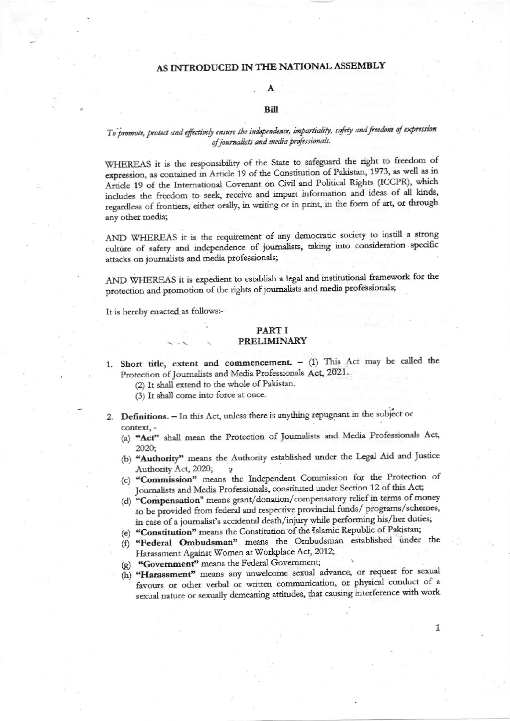# AS INTRODUCED IN THE NATIONAL ASSEMBLY

# A

#### Bill

# To promote, protect and effectively ensure the independence, impartiality, safety and freedom of expression of journalists and media professionals.

WHEREAS it is the responsibility of the State to safeguard the right to freedom of expression, as contained in Article 19 of the Constitution of Pakistan, 1973, as well as in Article 19 of the International Covenant on Civil and Political Rights (ICCPR), which includes the freedom to seek, receive and impart information and ideas of all kinds, regardless of frontiers, either orally, in writing or in print, in the form of art, or through any other media;

AND WHEREAS it is the requirement of any democratic society to instill a strong culture of safety and independence of journalists, taking into consideration specific attacks on journalists and media professionals;

AND WHEREAS it is expedient to establish a legal and institutional framework for the protection and promotion of the rights of journalists and media professionals;

It is hereby enacted as follows:-

#### PART I **PRELIMINARY**

Short title, extent and commencement.  $-$  (1) This Act may be called the Protection of Journalists and Media Professionals Act, 2021.

(2) It shall extend to the whole of Pakistan.

- (3) It shall come into force at once.
- 2. Definitions. In this Act, unless there is anything repugnant in the subject or context, -
	- (a) "Act" shall mean the Protection of Journalists and Media Professionals Act, 2020;
	- (b) "Authority" means the Authority established under the Legal Aid and Justice Authority Act, 2020;
	- (c) "Commission" means the Independent Commission for the Protection of Journalists and Media Professionals, constituted under Section 12 of this Act;
	- (d) "Compensation" means grant/donation/compensatory relief in terms of money to be provided from federal and respective provincial funds/ programs/schemes, in case of a journalist's accidental death/injury while performing his/her duties;
	- (e) "Constitution" means the Constitution of the Islamic Republic of Pakistan;
	- (f) "Federal Ombudsman" means the Ombudsman established under the Harassment Against Women at Workplace Act, 2012;
	- "Government" means the Federal Government;
	- (h) "Harassment" means any unwelcome sexual advance, or request for sexual favours or other verbal or written communication, or physical conduct of a sexual nature or sexually demeaning attitudes, that causing interference with work

1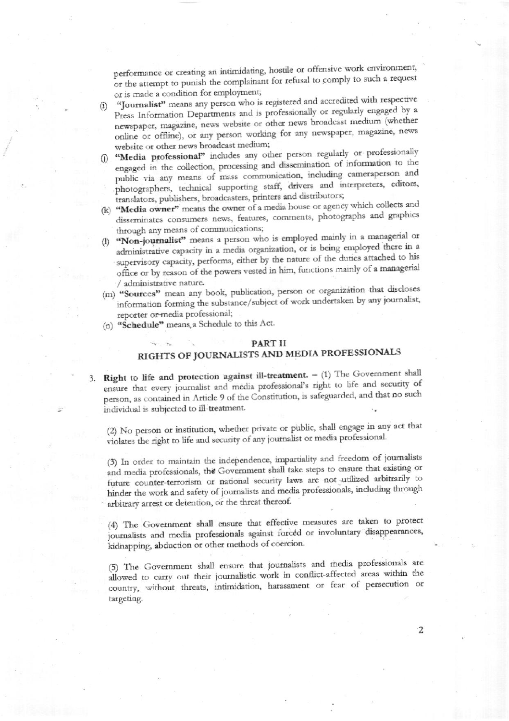performance or creating an intimidating, hostile or offensive work environment, or the attempt to punish the complainant for refusal to comply to such a request or is made a condition for employment;

- "Journalist" means any person who is registered and accredited with respective  $\left( 1\right)$ Press Information Departments and is professionally or regularly engaged by a newspaper, magazine, news website or other news broadcast medium (whether online or offline), or any person working for any newspaper, magazine, news website or other news broadcast medium;
- (j) "Media professional" includes any other person regularly or professionally engaged in the collection, processing and dissemination of information to the public via any means of mass communication, including cameraperson and photographers, technical supporting staff, drivers and interpreters, editors, translators, publishers, broadcasters, printers and distributors;
- (k) "Media owner" means the owner of a media house or agency which collects and disseminates consumers news, features, comments, photographs and graphics through any means of communications;
- "Non-journalist" means a person who is employed mainly in a managerial or administrative capacity in a media organization, or is being employed there in a supervisory capacity, performs, either by the nature of the duties attached to his office or by reason of the powers vested in him, functions mainly of a managerial / administrative nature.
- (m) "Sources" mean any book, publication, person or organization that discloses information forming the substance/subject of work undertaken by any journalist, reporter or media professional;
- (n) "Schedule" means, a Schedule to this Act.

#### PART II

# RIGHTS OF JOURNALISTS AND MEDIA PROFESSIONALS

3. Right to life and protection against ill-treatment.  $- (1)$  The Government shall ensure that every journalist and media professional's right to life and security of person, as contained in Article 9 of the Constitution, is safeguarded, and that no such individual is subjected to ill-treatment.

(2) No person or institution, whether private or public, shall engage in any act that violates the right to life and security of any journalist or media professional.

(3) In order to maintain the independence, impartiality and freedom of journalists and media professionals, the Government shall take steps to ensure that existing or future counter-terrorism or national security laws are not utilized arbitrarily to hinder the work and safety of journalists and media professionals, including through arbitrary arrest or detention, or the threat thereof.

(4) The Government shall ensure that effective measures are taken to protect journalists and media professionals against forced or involuntary disappearances, kidnapping, abduction or other methods of coercion.

(5) The Government shall ensure that journalists and media professionals are allowed to carry out their journalistic work in conflict-affected areas within the country, without threats, intimidation, harassment or fear of persecution or targeting.

2